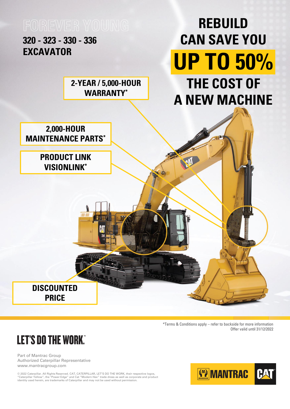Part of Mantrac Group Authorized Caterpillar Representative www.mantracgroup.com

© 2022 Caterpillar. All Rights Reserved. CAT, CATERPILLAR, LET'S DO THE WORK, their respective logos, "Caterpillar Yellow", the "Power Edge" and Cat "Modern Hex" trade dress as well as corporate and product identity used herein, are trademarks of Caterpillar and may not be used without permission.





\*Terms & Conditions apply – refer to backside for more information Offer valid until 31/12/2022

## **LET'S DO THE WORK."**